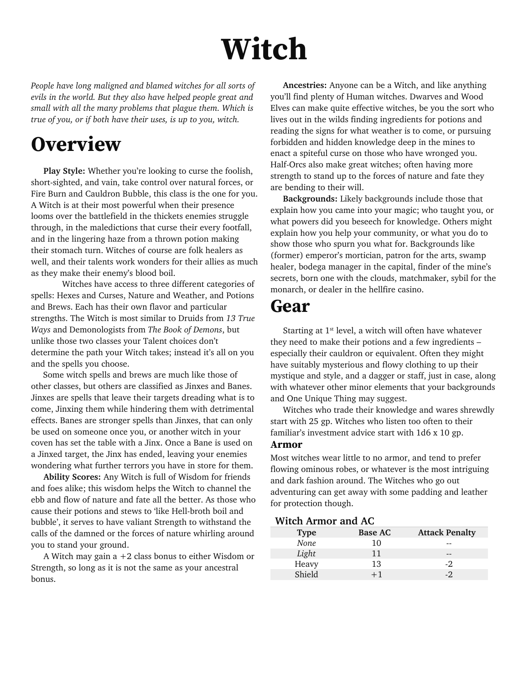# **Witch**

*People have long maligned and blamed witches for all sorts of evils in the world. But they also have helped people great and small with all the many problems that plague them. Which is true of you, or if both have their uses, is up to you, witch.*

## **Overview**

 **Play Style:** Whether you're looking to curse the foolish, short-sighted, and vain, take control over natural forces, or Fire Burn and Cauldron Bubble, this class is the one for you. A Witch is at their most powerful when their presence looms over the battlefield in the thickets enemies struggle through, in the maledictions that curse their every footfall, and in the lingering haze from a thrown potion making their stomach turn. Witches of course are folk healers as well, and their talents work wonders for their allies as much as they make their enemy's blood boil.

Witches have access to three different categories of spells: Hexes and Curses, Nature and Weather, and Potions and Brews. Each has their own flavor and particular strengths. The Witch is most similar to Druids from *13 True Ways* and Demonologists from *The Book of Demons*, but unlike those two classes your Talent choices don't determine the path your Witch takes; instead it's all on you and the spells you choose.

 Some witch spells and brews are much like those of other classes, but others are classified as Jinxes and Banes. Jinxes are spells that leave their targets dreading what is to come, Jinxing them while hindering them with detrimental effects. Banes are stronger spells than Jinxes, that can only be used on someone once you, or another witch in your coven has set the table with a Jinx. Once a Bane is used on a Jinxed target, the Jinx has ended, leaving your enemies wondering what further terrors you have in store for them.

 **Ability Scores:** Any Witch is full of Wisdom for friends and foes alike; this wisdom helps the Witch to channel the ebb and flow of nature and fate all the better. As those who cause their potions and stews to 'like Hell-broth boil and bubble', it serves to have valiant Strength to withstand the calls of the damned or the forces of nature whirling around you to stand your ground.

A Witch may gain  $a + 2$  class bonus to either Wisdom or Strength, so long as it is not the same as your ancestral bonus.

 **Ancestries:** Anyone can be a Witch, and like anything you'll find plenty of Human witches. Dwarves and Wood Elves can make quite effective witches, be you the sort who lives out in the wilds finding ingredients for potions and reading the signs for what weather is to come, or pursuing forbidden and hidden knowledge deep in the mines to enact a spiteful curse on those who have wronged you. Half-Orcs also make great witches; often having more strength to stand up to the forces of nature and fate they are bending to their will.

 **Backgrounds:** Likely backgrounds include those that explain how you came into your magic; who taught you, or what powers did you beseech for knowledge. Others might explain how you help your community, or what you do to show those who spurn you what for. Backgrounds like (former) emperor's mortician, patron for the arts, swamp healer, bodega manager in the capital, finder of the mine's secrets, born one with the clouds, matchmaker, sybil for the monarch, or dealer in the hellfire casino.

## **Gear**

Starting at 1st level, a witch will often have whatever they need to make their potions and a few ingredients – especially their cauldron or equivalent. Often they might have suitably mysterious and flowy clothing to up their mystique and style, and a dagger or staff, just in case, along with whatever other minor elements that your backgrounds and One Unique Thing may suggest.

Witches who trade their knowledge and wares shrewdly start with 25 gp. Witches who listen too often to their familiar's investment advice start with 1d6 x 10 gp.

#### **Armor**

Most witches wear little to no armor, and tend to prefer flowing ominous robes, or whatever is the most intriguing and dark fashion around. The Witches who go out adventuring can get away with some padding and leather for protection though.

#### **Witch Armor and AC**

| <b>Type</b> | <b>Base AC</b> | <b>Attack Penalty</b> |
|-------------|----------------|-----------------------|
| None        | 10             |                       |
| Light       | 11             |                       |
| Heavy       | 13             | $-2$                  |
| Shield      | $+1$           | $-2$                  |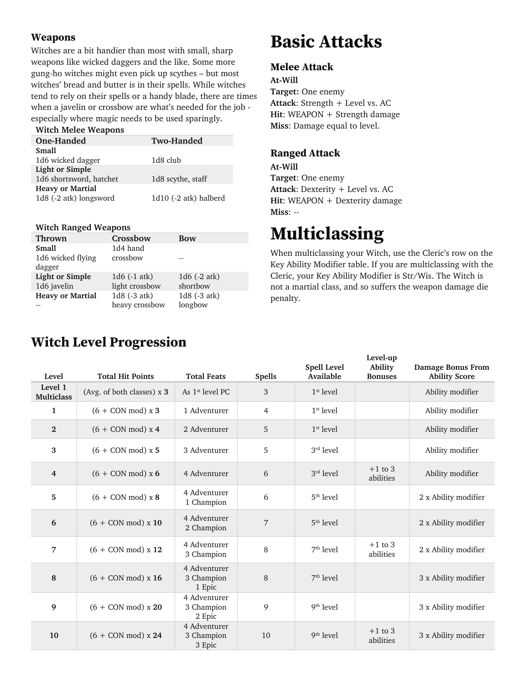#### **Weapons**

Witches are a bit handier than most with small, sharp weapons like wicked daggers and the like. Some more gung-ho witches might even pick up scythes – but most witches' bread and butter is in their spells. While witches tend to rely on their spells or a handy blade, there are times when a javelin or crossbow are what's needed for the job especially where magic needs to be used sparingly.

| <b>Witch Melee Weapons</b> |                       |
|----------------------------|-----------------------|
| One-Handed                 | <b>Two-Handed</b>     |
| <b>Small</b>               |                       |
| 1d6 wicked dagger          | 1d8 club              |
| <b>Light or Simple</b>     |                       |
| 1d6 shortsword, hatchet    | 1d8 scythe, staff     |
| <b>Heavy or Martial</b>    |                       |
| 1d8 (-2 atk) longsword     | 1d10 (-2 atk) halberd |
|                            |                       |

#### **Witch Ranged Weapons**

| Crossbow       | <b>Bow</b>      |
|----------------|-----------------|
| 1d4 hand       |                 |
| crossbow       |                 |
|                |                 |
| 1d6 (-1 atk)   | 1 $d6$ (-2 atk) |
| light crossbow | shortbow        |
| 1d8 (-3 atk)   | 1d8 (-3 atk)    |
| heavy crossbow | longbow         |
|                |                 |

## **Basic Attacks**

#### **Melee Attack**

**At-Will Target:** One enemy **Attack**: Strength + Level vs. AC Hit: WEAPON + Strength damage **Miss**: Damage equal to level.

#### **Ranged Attack**

**At-Will Target**: One enemy **Attack**: Dexterity + Level vs. AC **Hit**: WEAPON + Dexterity damage **Miss**: --

## **Multiclassing**

When multiclassing your Witch, use the Cleric's row on the Key Ability Modifier table. If you are multiclassing with the Cleric, your Key Ability Modifier is Str/Wis. The Witch is not a martial class, and so suffers the weapon damage die penalty.

| Level                        | <b>Total Hit Points</b>    | <b>Total Feats</b>                   | <b>Spells</b> | Spell Level<br>Available | Level-up<br><b>Ability</b><br><b>Bonuses</b> | <b>Damage Bonus From</b><br><b>Ability Score</b> |
|------------------------------|----------------------------|--------------------------------------|---------------|--------------------------|----------------------------------------------|--------------------------------------------------|
| Level 1<br><b>Multiclass</b> | (Avg. of both classes) x 3 | As $1st$ level PC                    | 3             | $1st$ level              |                                              | Ability modifier                                 |
| 1                            | $(6 + CON mod) x 3$        | 1 Adventurer                         | 4             | $1st$ level              |                                              | Ability modifier                                 |
| $\mathbf{2}$                 | $(6 + CON mod) x 4$        | 2 Adventurer                         | 5             | $1st$ level              |                                              | Ability modifier                                 |
| 3                            | $(6 + CON mod) x 5$        | 3 Adventurer                         | 5             | $3rd$ level              |                                              | Ability modifier                                 |
| $\overline{4}$               | $(6 + CON mod) x 6$        | 4 Adventurer                         | 6             | $3rd$ level              | $+1$ to 3<br>abilities                       | Ability modifier                                 |
| 5                            | $(6 + CON mod) \times 8$   | 4 Adventurer<br>1 Champion           | 6             | $5th$ level              |                                              | 2 x Ability modifier                             |
| 6                            | $(6 + CON mod) x 10$       | 4 Adventurer<br>2 Champion           | 7             | $5th$ level              |                                              | 2 x Ability modifier                             |
| 7                            | $(6 + CON mod)$ x 12       | 4 Adventurer<br>3 Champion           | 8             | $7th$ level              | $+1$ to 3<br>abilities                       | 2 x Ability modifier                             |
| 8                            | $(6 + CON mod)$ x 16       | 4 Adventurer<br>3 Champion<br>1 Epic | 8             | $7th$ level              |                                              | 3 x Ability modifier                             |
| 9                            | $(6 + CON mod) x 20$       | 4 Adventurer<br>3 Champion<br>2 Epic | 9             | $9th$ level              |                                              | 3 x Ability modifier                             |
| 10                           | $(6 + CON mod) \times 24$  | 4 Adventurer<br>3 Champion<br>3 Epic | 10            | $9th$ level              | $+1$ to 3<br>abilities                       | 3 x Ability modifier                             |

## **Witch Level Progression**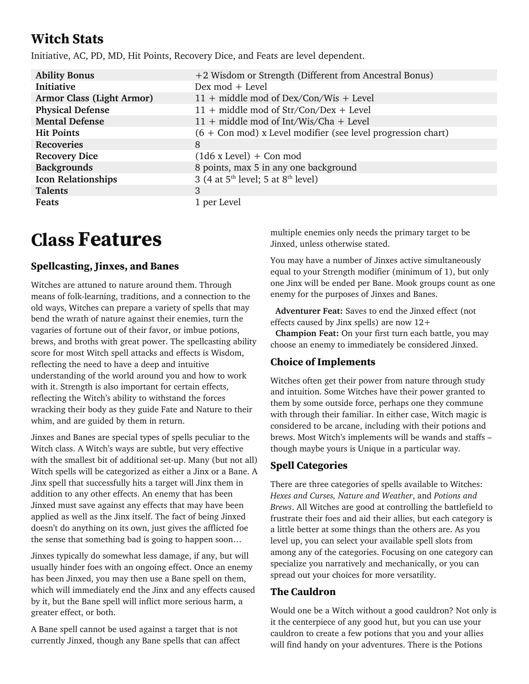## **Witch Stats**

Initiative, AC, PD, MD, Hit Points, Recovery Dice, and Feats are level dependent.

| <b>Ability Bonus</b>             | +2 Wisdom or Strength (Different from Ancestral Bonus)         |
|----------------------------------|----------------------------------------------------------------|
| <b>Initiative</b>                | Dex mod + Level                                                |
| <b>Armor Class (Light Armor)</b> | 11 + middle mod of Dex/Con/Wis + Level                         |
| <b>Physical Defense</b>          | $11 + middle \text{ mod of } Str/Con/Dev + Level$              |
| <b>Mental Defense</b>            | $11 + middle \text{ mod of Int/Wis/Cha} + Level$               |
| <b>Hit Points</b>                | $(6 + Con$ mod) x Level modifier (see level progression chart) |
| <b>Recoveries</b>                | 8                                                              |
| <b>Recovery Dice</b>             | $(1d6 \times \text{Level}) + \text{Con mod}$                   |
| <b>Backgrounds</b>               | 8 points, max 5 in any one background                          |
| <b>Icon Relationships</b>        | 3 (4 at $5^{\text{th}}$ level; 5 at $8^{\text{th}}$ level)     |
| <b>Talents</b>                   | 3                                                              |
| Feats                            | 1 per Level                                                    |

## **Class Features**

#### **Spellcasting, Jinxes, and Banes**

Witches are attuned to nature around them. Through means of folk-learning, traditions, and a connection to the old ways, Witches can prepare a variety of spells that may bend the wrath of nature against their enemies, turn the vagaries of fortune out of their favor, or imbue potions, brews, and broths with great power. The spellcasting ability score for most Witch spell attacks and effects is Wisdom, reflecting the need to have a deep and intuitive understanding of the world around you and how to work with it. Strength is also important for certain effects, reflecting the Witch's ability to withstand the forces wracking their body as they guide Fate and Nature to their whim, and are guided by them in return.

Jinxes and Banes are special types of spells peculiar to the Witch class. A Witch's ways are subtle, but very effective with the smallest bit of additional set-up. Many (but not all) Witch spells will be categorized as either a Jinx or a Bane. A Jinx spell that successfully hits a target will Jinx them in addition to any other effects. An enemy that has been Jinxed must save against any effects that may have been applied as well as the Jinx itself. The fact of being Jinxed doesn't do anything on its own, just gives the afflicted foe the sense that something bad is going to happen soon…

Jinxes typically do somewhat less damage, if any, but will usually hinder foes with an ongoing effect. Once an enemy has been Jinxed, you may then use a Bane spell on them, which will immediately end the Jinx and any effects caused by it, but the Bane spell will inflict more serious harm, a greater effect, or both.

A Bane spell cannot be used against a target that is not currently Jinxed, though any Bane spells that can affect multiple enemies only needs the primary target to be Jinxed, unless otherwise stated.

You may have a number of Jinxes active simultaneously equal to your Strength modifier (minimum of 1), but only one Jinx will be ended per Bane. Mook groups count as one enemy for the purposes of Jinxes and Banes.

 **Adventurer Feat:** Saves to end the Jinxed effect (not effects caused by Jinx spells) are now 12+

 **Champion Feat:** On your first turn each battle, you may choose an enemy to immediately be considered Jinxed.

#### **Choice of Implements**

Witches often get their power from nature through study and intuition. Some Witches have their power granted to them by some outside force, perhaps one they commune with through their familiar. In either case, Witch magic is considered to be arcane, including with their potions and brews. Most Witch's implements will be wands and staffs – though maybe yours is Unique in a particular way.

#### **Spell Categories**

There are three categories of spells available to Witches: *Hexes and Curses, Nature and Weather*, and *Potions and Brews*. All Witches are good at controlling the battlefield to frustrate their foes and aid their allies, but each category is a little better at some things than the others are. As you level up, you can select your available spell slots from among any of the categories. Focusing on one category can specialize you narratively and mechanically, or you can spread out your choices for more versatility.

#### **The Cauldron**

Would one be a Witch without a good cauldron? Not only is it the centerpiece of any good hut, but you can use your cauldron to create a few potions that you and your allies will find handy on your adventures. There is the Potions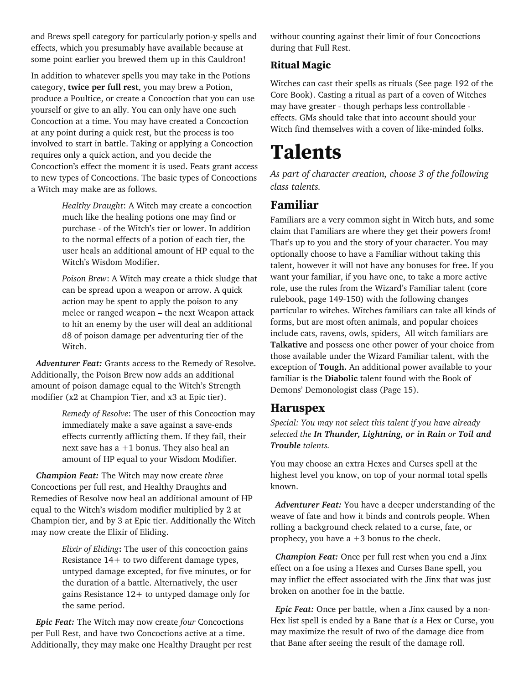and Brews spell category for particularly potion-y spells and effects, which you presumably have available because at some point earlier you brewed them up in this Cauldron!

In addition to whatever spells you may take in the Potions category, **twice per full rest**, you may brew a Potion, produce a Poultice, or create a Concoction that you can use yourself or give to an ally. You can only have one such Concoction at a time. You may have created a Concoction at any point during a quick rest, but the process is too involved to start in battle. Taking or applying a Concoction requires only a quick action, and you decide the Concoction's effect the moment it is used. Feats grant access to new types of Concoctions. The basic types of Concoctions a Witch may make are as follows.

> *Healthy Draught*: A Witch may create a concoction much like the healing potions one may find or purchase - of the Witch's tier or lower. In addition to the normal effects of a potion of each tier, the user heals an additional amount of HP equal to the Witch's Wisdom Modifier.

*Poison Brew*: A Witch may create a thick sludge that can be spread upon a weapon or arrow. A quick action may be spent to apply the poison to any melee or ranged weapon – the next Weapon attack to hit an enemy by the user will deal an additional d8 of poison damage per adventuring tier of the Witch.

 *Adventurer Feat:* Grants access to the Remedy of Resolve. Additionally, the Poison Brew now adds an additional amount of poison damage equal to the Witch's Strength modifier (x2 at Champion Tier, and x3 at Epic tier).

> *Remedy of Resolve*: The user of this Concoction may immediately make a save against a save-ends effects currently afflicting them. If they fail, their next save has a +1 bonus. They also heal an amount of HP equal to your Wisdom Modifier.

 *Champion Feat:* The Witch may now create *three* Concoctions per full rest, and Healthy Draughts and Remedies of Resolve now heal an additional amount of HP equal to the Witch's wisdom modifier multiplied by 2 at Champion tier, and by 3 at Epic tier. Additionally the Witch may now create the Elixir of Eliding.

> *Elixir of Eliding***:** The user of this concoction gains Resistance 14+ to two different damage types, untyped damage excepted, for five minutes, or for the duration of a battle. Alternatively, the user gains Resistance 12+ to untyped damage only for the same period.

 *Epic Feat:* The Witch may now create *four* Concoctions per Full Rest, and have two Concoctions active at a time. Additionally, they may make one Healthy Draught per rest without counting against their limit of four Concoctions during that Full Rest.

#### **Ritual Magic**

Witches can cast their spells as rituals (See page 192 of the Core Book). Casting a ritual as part of a coven of Witches may have greater - though perhaps less controllable effects. GMs should take that into account should your Witch find themselves with a coven of like-minded folks.

## **Talents**

*As part of character creation, choose 3 of the following class talents.*

### **Familiar**

Familiars are a very common sight in Witch huts, and some claim that Familiars are where they get their powers from! That's up to you and the story of your character. You may optionally choose to have a Familiar without taking this talent, however it will not have any bonuses for free. If you want your familiar, if you have one, to take a more active role, use the rules from the Wizard's Familiar talent (core rulebook, page 149-150) with the following changes particular to witches. Witches familiars can take all kinds of forms, but are most often animals, and popular choices include cats, ravens, owls, spiders, All witch familiars are **Talkative** and possess one other power of your choice from those available under the Wizard Familiar talent, with the exception of **Tough.** An additional power available to your familiar is the **Diabolic** talent found with the Book of Demons' Demonologist class (Page 15).

#### **Haruspex**

*Special: You may not select this talent if you have already selected the In Thunder, Lightning, or in Rain or Toil and Trouble talents.*

You may choose an extra Hexes and Curses spell at the highest level you know, on top of your normal total spells known.

 *Adventurer Feat:* You have a deeper understanding of the weave of fate and how it binds and controls people. When rolling a background check related to a curse, fate, or prophecy, you have a +3 bonus to the check.

 *Champion Feat:* Once per full rest when you end a Jinx effect on a foe using a Hexes and Curses Bane spell, you may inflict the effect associated with the Jinx that was just broken on another foe in the battle.

 *Epic Feat:* Once per battle, when a Jinx caused by a non-Hex list spell is ended by a Bane that *is* a Hex or Curse, you may maximize the result of two of the damage dice from that Bane after seeing the result of the damage roll.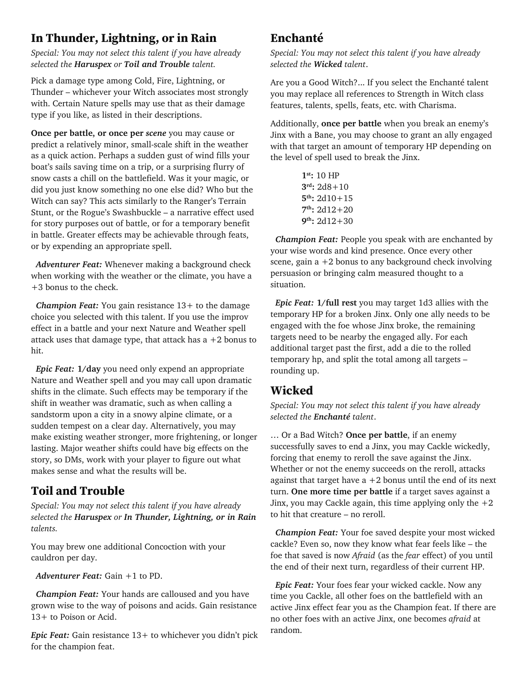### **In Thunder, Lightning, or in Rain**

*Special: You may not select this talent if you have already selected the Haruspex or Toil and Trouble talent.*

Pick a damage type among Cold, Fire, Lightning, or Thunder – whichever your Witch associates most strongly with. Certain Nature spells may use that as their damage type if you like, as listed in their descriptions.

**Once per battle, or once per** *scene* you may cause or predict a relatively minor, small-scale shift in the weather as a quick action. Perhaps a sudden gust of wind fills your boat's sails saving time on a trip, or a surprising flurry of snow casts a chill on the battlefield. Was it your magic, or did you just know something no one else did? Who but the Witch can say? This acts similarly to the Ranger's Terrain Stunt, or the Rogue's Swashbuckle – a narrative effect used for story purposes out of battle, or for a temporary benefit in battle. Greater effects may be achievable through feats, or by expending an appropriate spell.

 *Adventurer Feat:* Whenever making a background check when working with the weather or the climate, you have a +3 bonus to the check.

 *Champion Feat:* You gain resistance 13+ to the damage choice you selected with this talent. If you use the improv effect in a battle and your next Nature and Weather spell attack uses that damage type, that attack has a  $+2$  bonus to hit.

 *Epic Feat:* **1/day** you need only expend an appropriate Nature and Weather spell and you may call upon dramatic shifts in the climate. Such effects may be temporary if the shift in weather was dramatic, such as when calling a sandstorm upon a city in a snowy alpine climate, or a sudden tempest on a clear day. Alternatively, you may make existing weather stronger, more frightening, or longer lasting. Major weather shifts could have big effects on the story, so DMs, work with your player to figure out what makes sense and what the results will be.

#### **Toil and Trouble**

*Special: You may not select this talent if you have already selected the Haruspex or In Thunder, Lightning, or in Rain talents.*

You may brew one additional Concoction with your cauldron per day.

 *Adventurer Feat:* Gain +1 to PD.

 *Champion Feat:* Your hands are calloused and you have grown wise to the way of poisons and acids. Gain resistance 13+ to Poison or Acid.

*Epic Feat:* Gain resistance 13+ to whichever you didn't pick for the champion feat.

#### **Enchanté**

*Special: You may not select this talent if you have already selected the Wicked talent*.

Are you a Good Witch?... If you select the Enchanté talent you may replace all references to Strength in Witch class features, talents, spells, feats, etc. with Charisma.

Additionally, **once per battle** when you break an enemy's Jinx with a Bane, you may choose to grant an ally engaged with that target an amount of temporary HP depending on the level of spell used to break the Jinx.

> **1st:** 10 HP **3rd:** 2d8+10 **5th:** 2d10+15 **7th:** 2d12+20 **9th:** 2d12+30

 *Champion Feat:* People you speak with are enchanted by your wise words and kind presence. Once every other scene, gain  $a + 2$  bonus to any background check involving persuasion or bringing calm measured thought to a situation.

 *Epic Feat:* **1/full rest** you may target 1d3 allies with the temporary HP for a broken Jinx. Only one ally needs to be engaged with the foe whose Jinx broke, the remaining targets need to be nearby the engaged ally. For each additional target past the first, add a die to the rolled temporary hp, and split the total among all targets – rounding up.

### **Wicked**

*Special: You may not select this talent if you have already selected the Enchanté talent*.

… Or a Bad Witch? **Once per battle**, if an enemy successfully saves to end a Jinx, you may Cackle wickedly, forcing that enemy to reroll the save against the Jinx. Whether or not the enemy succeeds on the reroll, attacks against that target have  $a + 2$  bonus until the end of its next turn. **One more time per battle** if a target saves against a Jinx, you may Cackle again, this time applying only the  $+2$ to hit that creature – no reroll.

 *Champion Feat:* Your foe saved despite your most wicked cackle? Even so, now they know what fear feels like – the foe that saved is now *Afraid* (as the *fear* effect) of you until the end of their next turn, regardless of their current HP.

 *Epic Feat:* Your foes fear your wicked cackle. Now any time you Cackle, all other foes on the battlefield with an active Jinx effect fear you as the Champion feat. If there are no other foes with an active Jinx, one becomes *afraid* at random.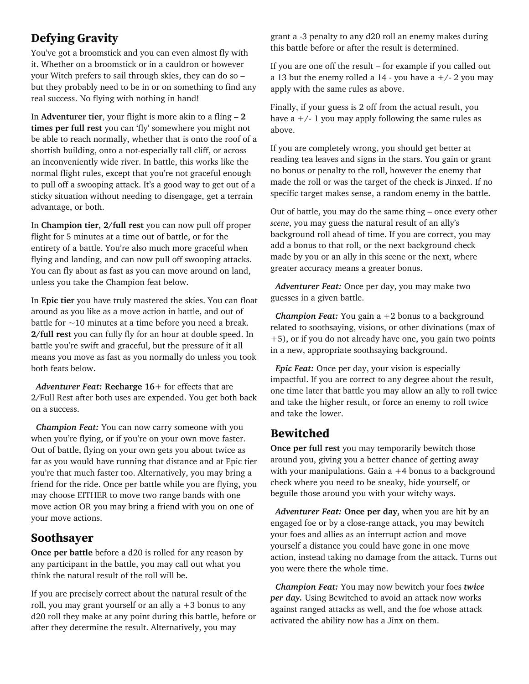### **Defying Gravity**

You've got a broomstick and you can even almost fly with it. Whether on a broomstick or in a cauldron or however your Witch prefers to sail through skies, they can do so – but they probably need to be in or on something to find any real success. No flying with nothing in hand!

In **Adventurer tier**, your flight is more akin to a fling – **2 times per full rest** you can 'fly' somewhere you might not be able to reach normally, whether that is onto the roof of a shortish building, onto a not-especially tall cliff, or across an inconveniently wide river. In battle, this works like the normal flight rules, except that you're not graceful enough to pull off a swooping attack. It's a good way to get out of a sticky situation without needing to disengage, get a terrain advantage, or both.

In **Champion tier, 2/full rest** you can now pull off proper flight for 5 minutes at a time out of battle, or for the entirety of a battle. You're also much more graceful when flying and landing, and can now pull off swooping attacks. You can fly about as fast as you can move around on land, unless you take the Champion feat below.

In **Epic tier** you have truly mastered the skies. You can float around as you like as a move action in battle, and out of battle for  $\sim$ 10 minutes at a time before you need a break. **2/full rest** you can fully fly for an hour at double speed. In battle you're swift and graceful, but the pressure of it all means you move as fast as you normally do unless you took both feats below.

 *Adventurer Feat:* **Recharge 16+** for effects that are 2/Full Rest after both uses are expended. You get both back on a success.

 *Champion Feat:* You can now carry someone with you when you're flying, or if you're on your own move faster. Out of battle, flying on your own gets you about twice as far as you would have running that distance and at Epic tier you're that much faster too. Alternatively, you may bring a friend for the ride. Once per battle while you are flying, you may choose EITHER to move two range bands with one move action OR you may bring a friend with you on one of your move actions.

#### **Soothsayer**

**Once per battle** before a d20 is rolled for any reason by any participant in the battle, you may call out what you think the natural result of the roll will be.

If you are precisely correct about the natural result of the roll, you may grant yourself or an ally  $a + 3$  bonus to any d20 roll they make at any point during this battle, before or after they determine the result. Alternatively, you may

grant a -3 penalty to any d20 roll an enemy makes during this battle before or after the result is determined.

If you are one off the result – for example if you called out a 13 but the enemy rolled a 14 - you have a  $+/$ - 2 you may apply with the same rules as above.

Finally, if your guess is 2 off from the actual result, you have a  $+/-$  1 you may apply following the same rules as above.

If you are completely wrong, you should get better at reading tea leaves and signs in the stars. You gain or grant no bonus or penalty to the roll, however the enemy that made the roll or was the target of the check is Jinxed. If no specific target makes sense, a random enemy in the battle.

Out of battle, you may do the same thing – once every other *scene*, you may guess the natural result of an ally's background roll ahead of time. If you are correct, you may add a bonus to that roll, or the next background check made by you or an ally in this scene or the next, where greater accuracy means a greater bonus.

 *Adventurer Feat:* Once per day, you may make two guesses in a given battle.

 *Champion Feat:* You gain a +2 bonus to a background related to soothsaying, visions, or other divinations (max of +5), or if you do not already have one, you gain two points in a new, appropriate soothsaying background.

 *Epic Feat:* Once per day, your vision is especially impactful. If you are correct to any degree about the result, one time later that battle you may allow an ally to roll twice and take the higher result, or force an enemy to roll twice and take the lower.

#### **Bewitched**

**Once per full rest** you may temporarily bewitch those around you, giving you a better chance of getting away with your manipulations. Gain  $a + 4$  bonus to a background check where you need to be sneaky, hide yourself, or beguile those around you with your witchy ways.

 *Adventurer Feat:* **Once per day,** when you are hit by an engaged foe or by a close-range attack, you may bewitch your foes and allies as an interrupt action and move yourself a distance you could have gone in one move action, instead taking no damage from the attack. Turns out you were there the whole time.

 *Champion Feat:* You may now bewitch your foes *twice per day.* Using Bewitched to avoid an attack now works against ranged attacks as well, and the foe whose attack activated the ability now has a Jinx on them.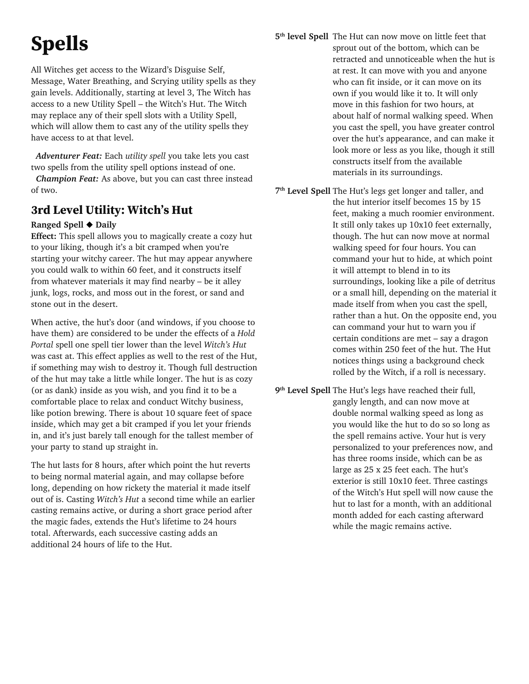# **Spells**

All Witches get access to the Wizard's Disguise Self, Message, Water Breathing, and Scrying utility spells as they gain levels. Additionally, starting at level 3, The Witch has access to a new Utility Spell – the Witch's Hut. The Witch may replace any of their spell slots with a Utility Spell, which will allow them to cast any of the utility spells they have access to at that level.

 *Adventurer Feat:* Each *utility spell* you take lets you cast two spells from the utility spell options instead of one.

 *Champion Feat:* As above, but you can cast three instead of two.

### **3rd Level Utility: Witch's Hut**

#### **Ranged Spell** ◆ **Daily**

**Effect:** This spell allows you to magically create a cozy hut to your liking, though it's a bit cramped when you're starting your witchy career. The hut may appear anywhere you could walk to within 60 feet, and it constructs itself from whatever materials it may find nearby – be it alley junk, logs, rocks, and moss out in the forest, or sand and stone out in the desert.

When active, the hut's door (and windows, if you choose to have them) are considered to be under the effects of a *Hold Portal* spell one spell tier lower than the level *Witch's Hut* was cast at. This effect applies as well to the rest of the Hut, if something may wish to destroy it. Though full destruction of the hut may take a little while longer. The hut is as cozy (or as dank) inside as you wish, and you find it to be a comfortable place to relax and conduct Witchy business, like potion brewing. There is about 10 square feet of space inside, which may get a bit cramped if you let your friends in, and it's just barely tall enough for the tallest member of your party to stand up straight in.

The hut lasts for 8 hours, after which point the hut reverts to being normal material again, and may collapse before long, depending on how rickety the material it made itself out of is. Casting *Witch's Hut* a second time while an earlier casting remains active, or during a short grace period after the magic fades, extends the Hut's lifetime to 24 hours total. Afterwards, each successive casting adds an additional 24 hours of life to the Hut.

- **5th level Spell** The Hut can now move on little feet that sprout out of the bottom, which can be retracted and unnoticeable when the hut is at rest. It can move with you and anyone who can fit inside, or it can move on its own if you would like it to. It will only move in this fashion for two hours, at about half of normal walking speed. When you cast the spell, you have greater control over the hut's appearance, and can make it look more or less as you like, though it still constructs itself from the available materials in its surroundings.
- **7th Level Spell** The Hut's legs get longer and taller, and the hut interior itself becomes 15 by 15 feet, making a much roomier environment. It still only takes up 10x10 feet externally, though. The hut can now move at normal walking speed for four hours. You can command your hut to hide, at which point it will attempt to blend in to its surroundings, looking like a pile of detritus or a small hill, depending on the material it made itself from when you cast the spell, rather than a hut. On the opposite end, you can command your hut to warn you if certain conditions are met – say a dragon comes within 250 feet of the hut. The Hut notices things using a background check rolled by the Witch, if a roll is necessary.
- **9th Level Spell** The Hut's legs have reached their full, gangly length, and can now move at double normal walking speed as long as you would like the hut to do so so long as the spell remains active. Your hut is very personalized to your preferences now, and has three rooms inside, which can be as large as 25 x 25 feet each. The hut's exterior is still 10x10 feet. Three castings of the Witch's Hut spell will now cause the hut to last for a month, with an additional month added for each casting afterward while the magic remains active.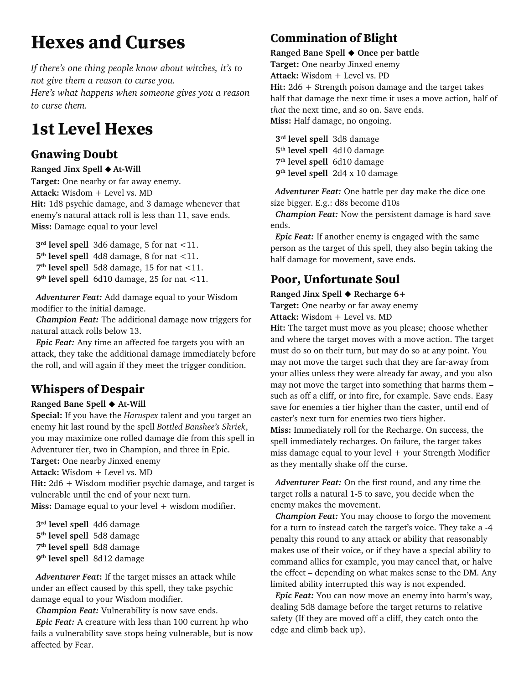## **Hexes and Curses**

*If there's one thing people know about witches, it's to not give them a reason to curse you. Here's what happens when someone gives you a reason to curse them.*

## **1st Level Hexes**

### **Gnawing Doubt**

#### **Ranged Jinx Spell ◆ At-Will**

**Target:** One nearby or far away enemy. **Attack:** Wisdom + Level vs. MD **Hit:** 1d8 psychic damage, and 3 damage whenever that enemy's natural attack roll is less than 11, save ends. **Miss:** Damage equal to your level

 **3rd level spell** 3d6 damage, 5 for nat <11.  **5th level spell** 4d8 damage, 8 for nat <11.  **7th level spell** 5d8 damage, 15 for nat <11.  **9th level spell** 6d10 damage, 25 for nat <11.

 *Adventurer Feat:* Add damage equal to your Wisdom modifier to the initial damage.

 *Champion Feat:* The additional damage now triggers for natural attack rolls below 13.

 *Epic Feat:* Any time an affected foe targets you with an attack, they take the additional damage immediately before the roll, and will again if they meet the trigger condition.

## **Whispers of Despair**

#### **Ranged Bane Spell** ◆ **At-Will**

**Special:** If you have the *Haruspex* talent and you target an enemy hit last round by the spell *Bottled Banshee's Shriek*, you may maximize one rolled damage die from this spell in Adventurer tier, two in Champion, and three in Epic. **Target:** One nearby Jinxed enemy

**Attack:** Wisdom + Level vs. MD

**Hit:** 2d6 + Wisdom modifier psychic damage, and target is vulnerable until the end of your next turn.

Miss: Damage equal to your level + wisdom modifier.

 **3rd level spell** 4d6 damage  **5th level spell** 5d8 damage  **7th level spell** 8d8 damage  **9th level spell** 8d12 damage

 *Adventurer Feat***:** If the target misses an attack while under an effect caused by this spell, they take psychic damage equal to your Wisdom modifier.

 *Champion Feat:* Vulnerability is now save ends.  *Epic Feat:* A creature with less than 100 current hp who fails a vulnerability save stops being vulnerable, but is now affected by Fear.

## **Commination of Blight**

**Ranged Bane Spell** ◆ **Once per battle Target:** One nearby Jinxed enemy **Attack:** Wisdom + Level vs. PD **Hit:** 2d6 + Strength poison damage and the target takes half that damage the next time it uses a move action, half of *that* the next time, and so on. Save ends. **Miss:** Half damage, no ongoing.

 **3rd level spell** 3d8 damage  **5th level spell** 4d10 damage  **7th level spell** 6d10 damage  **9th level spell** 2d4 x 10 damage

 *Adventurer Feat:* One battle per day make the dice one size bigger. E.g.: d8s become d10s

*Champion Feat:* Now the persistent damage is hard save ends.

*Epic Feat:* If another enemy is engaged with the same person as the target of this spell, they also begin taking the half damage for movement, save ends.

### **Poor, Unfortunate Soul**

#### **Ranged Jinx Spell** ◆ **Recharge 6+**

**Target:** One nearby or far away enemy

**Attack:** Wisdom + Level vs. MD

**Hit:** The target must move as you please; choose whether and where the target moves with a move action. The target must do so on their turn, but may do so at any point. You may not move the target such that they are far-away from your allies unless they were already far away, and you also may not move the target into something that harms them – such as off a cliff, or into fire, for example. Save ends. Easy save for enemies a tier higher than the caster, until end of caster's next turn for enemies two tiers higher. **Miss:** Immediately roll for the Recharge. On success, the spell immediately recharges. On failure, the target takes miss damage equal to your level  $+$  your Strength Modifier as they mentally shake off the curse.

*Adventurer Feat:* On the first round, and any time the target rolls a natural 1-5 to save, you decide when the enemy makes the movement.

*Champion Feat:* You may choose to forgo the movement for a turn to instead catch the target's voice. They take a -4 penalty this round to any attack or ability that reasonably makes use of their voice, or if they have a special ability to command allies for example, you may cancel that, or halve the effect – depending on what makes sense to the DM. Any limited ability interrupted this way is not expended.

*Epic Feat:* You can now move an enemy into harm's way, dealing 5d8 damage before the target returns to relative safety (If they are moved off a cliff, they catch onto the edge and climb back up).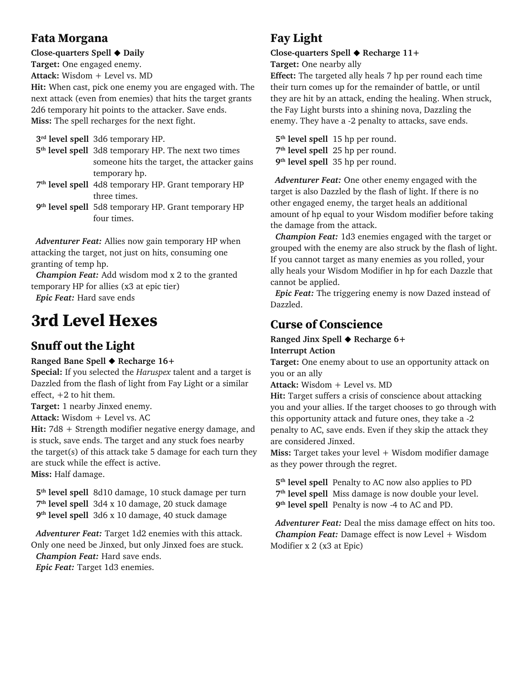#### **Fata Morgana**

**Close-quarters Spell** ◆ **Daily**

**Target:** One engaged enemy.

**Attack:** Wisdom + Level vs. MD

**Hit:** When cast, pick one enemy you are engaged with. The next attack (even from enemies) that hits the target grants 2d6 temporary hit points to the attacker. Save ends. **Miss:** The spell recharges for the next fight.

 **3rd level spell** 3d6 temporary HP.

 **5th level spell** 3d8 temporary HP. The next two times someone hits the target, the attacker gains temporary hp.

 **7th level spell** 4d8 temporary HP. Grant temporary HP three times.

 **9th level spell** 5d8 temporary HP. Grant temporary HP four times.

 *Adventurer Feat:* Allies now gain temporary HP when attacking the target, not just on hits, consuming one granting of temp hp.

*Champion Feat:* Add wisdom mod x 2 to the granted temporary HP for allies (x3 at epic tier)

*Epic Feat:* Hard save ends

## **3rd Level Hexes**

## **Snuff out the Light**

**Ranged Bane Spell** ◆ **Recharge 16+** 

**Special:** If you selected the *Haruspex* talent and a target is Dazzled from the flash of light from Fay Light or a similar effect, +2 to hit them.

**Target:** 1 nearby Jinxed enemy.

**Attack:** Wisdom + Level vs. AC

**Hit:** 7d8 + Strength modifier negative energy damage, and is stuck, save ends. The target and any stuck foes nearby the target(s) of this attack take 5 damage for each turn they are stuck while the effect is active. **Miss:** Half damage.

 **5th level spell** 8d10 damage, 10 stuck damage per turn  **7th level spell** 3d4 x 10 damage, 20 stuck damage

 **9th level spell** 3d6 x 10 damage, 40 stuck damage

*Adventurer Feat:* Target 1d2 enemies with this attack. Only one need be Jinxed, but only Jinxed foes are stuck.

*Champion Feat:* Hard save ends. *Epic Feat:* Target 1d3 enemies.

### **Fay Light**

#### **Close-quarters Spell** ◆ **Recharge 11+**

**Target:** One nearby ally

**Effect:** The targeted ally heals 7 hp per round each time their turn comes up for the remainder of battle, or until they are hit by an attack, ending the healing. When struck, the Fay Light bursts into a shining nova, Dazzling the enemy. They have a -2 penalty to attacks, save ends.

 **5th level spell** 15 hp per round.  **7th level spell** 25 hp per round.  **9th level spell** 35 hp per round.

 *Adventurer Feat:* One other enemy engaged with the target is also Dazzled by the flash of light. If there is no other engaged enemy, the target heals an additional amount of hp equal to your Wisdom modifier before taking the damage from the attack.

*Champion Feat:* 1d3 enemies engaged with the target or grouped with the enemy are also struck by the flash of light. If you cannot target as many enemies as you rolled, your ally heals your Wisdom Modifier in hp for each Dazzle that cannot be applied.

*Epic Feat:* The triggering enemy is now Dazed instead of Dazzled.

## **Curse of Conscience**

**Ranged Jinx Spell** ◆ **Recharge 6+ Interrupt Action**

**Target:** One enemy about to use an opportunity attack on you or an ally

**Attack:** Wisdom + Level vs. MD

**Hit:** Target suffers a crisis of conscience about attacking you and your allies. If the target chooses to go through with this opportunity attack and future ones, they take a -2 penalty to AC, save ends. Even if they skip the attack they are considered Jinxed.

**Miss:** Target takes your level + Wisdom modifier damage as they power through the regret.

 **5th level spell** Penalty to AC now also applies to PD  **7th level spell** Miss damage is now double your level.  **9th level spell** Penalty is now -4 to AC and PD.

 *Adventurer Feat:* Deal the miss damage effect on hits too. *Champion Feat:* Damage effect is now Level + Wisdom Modifier x 2 (x3 at Epic)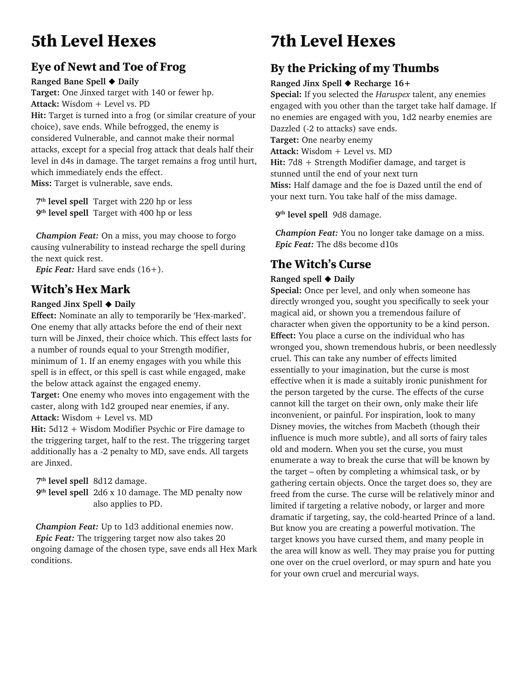## **5th Level Hexes**

## **Eye of Newt and Toe of Frog**

**Ranged Bane Spell** ◆ **Daily**

**Target:** One Jinxed target with 140 or fewer hp. **Attack:** Wisdom + Level vs. PD **Hit:** Target is turned into a frog (or similar creature of your choice), save ends. While befrogged, the enemy is considered Vulnerable, and cannot make their normal attacks, except for a special frog attack that deals half their level in d4s in damage. The target remains a frog until hurt, which immediately ends the effect.

**Miss:** Target is vulnerable, save ends.

 **7th level spell** Target with 220 hp or less  **9th level spell** Target with 400 hp or less

 *Champion Feat:* On a miss, you may choose to forgo causing vulnerability to instead recharge the spell during the next quick rest.

*Epic Feat:* Hard save ends (16+).

## **Witch's Hex Mark**

#### **Ranged Jinx Spell** ◆ **Daily**

**Effect:** Nominate an ally to temporarily be 'Hex-marked'. One enemy that ally attacks before the end of their next turn will be Jinxed, their choice which. This effect lasts for a number of rounds equal to your Strength modifier, minimum of 1. If an enemy engages with you while this spell is in effect, or this spell is cast while engaged, make the below attack against the engaged enemy.

**Target:** One enemy who moves into engagement with the caster, along with 1d2 grouped near enemies, if any. **Attack:** Wisdom + Level vs. MD

**Hit:** 5d12 + Wisdom Modifier Psychic or Fire damage to the triggering target, half to the rest. The triggering target additionally has a -2 penalty to MD, save ends. All targets are Jinxed.

 **7th level spell** 8d12 damage.

 **9th level spell** 2d6 x 10 damage. The MD penalty now also applies to PD.

 *Champion Feat:* Up to 1d3 additional enemies now.  *Epic Feat:* The triggering target now also takes 20 ongoing damage of the chosen type, save ends all Hex Mark conditions.

## **7th Level Hexes**

## **By the Pricking of my Thumbs**

#### **Ranged Jinx Spell** ◆ **Recharge 16+**

**Special:** If you selected the *Haruspex* talent, any enemies engaged with you other than the target take half damage. If no enemies are engaged with you, 1d2 nearby enemies are Dazzled (-2 to attacks) save ends. **Target:** One nearby enemy **Attack:** Wisdom + Level vs. MD **Hit:** 7d8 + Strength Modifier damage, and target is stunned until the end of your next turn **Miss:** Half damage and the foe is Dazed until the end of your next turn. You take half of the miss damage.

**9th level spell** 9d8 damage.

*Champion Feat:* You no longer take damage on a miss. *Epic Feat:* The d8s become d10s

## **The Witch's Curse**

#### **Ranged spell** ◆ **Daily**

Special: Once per level, and only when someone has directly wronged you, sought you specifically to seek your magical aid, or shown you a tremendous failure of character when given the opportunity to be a kind person. **Effect:** You place a curse on the individual who has wronged you, shown tremendous hubris, or been needlessly cruel. This can take any number of effects limited essentially to your imagination, but the curse is most effective when it is made a suitably ironic punishment for the person targeted by the curse. The effects of the curse cannot kill the target on their own, only make their life inconvenient, or painful. For inspiration, look to many Disney movies, the witches from Macbeth (though their influence is much more subtle), and all sorts of fairy tales old and modern. When you set the curse, you must enumerate a way to break the curse that will be known by the target – often by completing a whimsical task, or by gathering certain objects. Once the target does so, they are freed from the curse. The curse will be relatively minor and limited if targeting a relative nobody, or larger and more dramatic if targeting, say, the cold-hearted Prince of a land. But know you are creating a powerful motivation. The target knows you have cursed them, and many people in the area will know as well. They may praise you for putting one over on the cruel overlord, or may spurn and hate you for your own cruel and mercurial ways.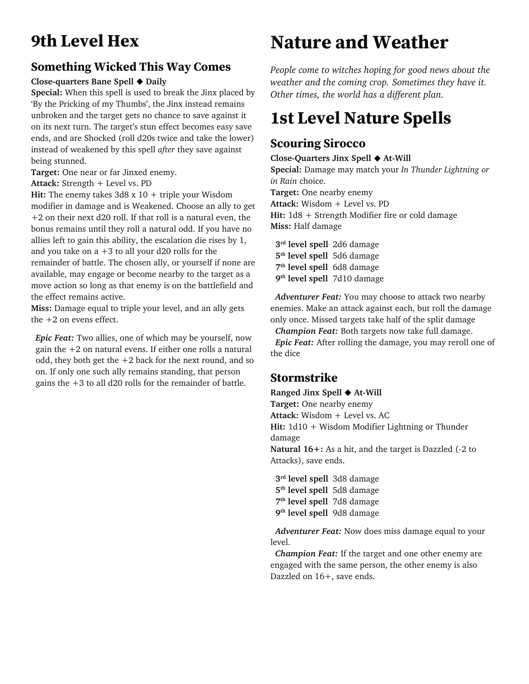## **9th Level Hex**

### **Something Wicked This Way Comes**

#### **Close-quarters Bane Spell** ◆ **Daily**

**Special:** When this spell is used to break the Jinx placed by 'By the Pricking of my Thumbs', the Jinx instead remains unbroken and the target gets no chance to save against it on its next turn. The target's stun effect becomes easy save ends, and are Shocked (roll d20s twice and take the lower) instead of weakened by this spell *after* they save against being stunned.

**Target:** One near or far Jinxed enemy.

**Attack:** Strength + Level vs. PD

**Hit:** The enemy takes 3d8 x 10 + triple your Wisdom modifier in damage and is Weakened. Choose an ally to get +2 on their next d20 roll. If that roll is a natural even, the bonus remains until they roll a natural odd. If you have no allies left to gain this ability, the escalation die rises by 1, and you take on  $a + 3$  to all your d20 rolls for the remainder of battle. The chosen ally, or yourself if none are available, may engage or become nearby to the target as a move action so long as that enemy is on the battlefield and

the effect remains active.

**Miss:** Damage equal to triple your level, and an ally gets the +2 on evens effect.

*Epic Feat:* Two allies, one of which may be yourself, now gain the  $+2$  on natural evens. If either one rolls a natural odd, they both get the  $+2$  back for the next round, and so on. If only one such ally remains standing, that person gains the +3 to all d20 rolls for the remainder of battle.

## **Nature and Weather**

*People come to witches hoping for good news about the weather and the coming crop. Sometimes they have it. Other times, the world has a different plan.*

## **1st Level Nature Spells**

### **Scouring Sirocco**

#### **Close-Quarters Jinx Spell** ◆ **At-Will**

**Special:** Damage may match your *In Thunder Lightning or in Rain* choice.

**Target:** One nearby enemy

**Attack:** Wisdom + Level vs. PD

**Hit:** 1d8 + Strength Modifier fire or cold damage **Miss:** Half damage

 **3rd level spell** 2d6 damage  **5th level spell** 5d6 damage  **7th level spell** 6d8 damage  **9th level spell** 7d10 damage

*Adventurer Feat:* You may choose to attack two nearby enemies. Make an attack against each, but roll the damage only once. Missed targets take half of the split damage

*Champion Feat:* Both targets now take full damage. *Epic Feat:* After rolling the damage, you may reroll one of the dice

## **Stormstrike**

**Ranged Jinx Spell** ◆ **At-Will**

**Target:** One nearby enemy

**Attack:** Wisdom + Level vs. AC

**Hit:** 1d10 + Wisdom Modifier Lightning or Thunder damage

**Natural 16+:** As a hit, and the target is Dazzled (-2 to Attacks), save ends.

 **3rd level spell** 3d8 damage  **5th level spell** 5d8 damage  **7th level spell** 7d8 damage  **9th level spell** 9d8 damage

 *Adventurer Feat:* Now does miss damage equal to your level.

 *Champion Feat:* If the target and one other enemy are engaged with the same person, the other enemy is also Dazzled on 16+, save ends.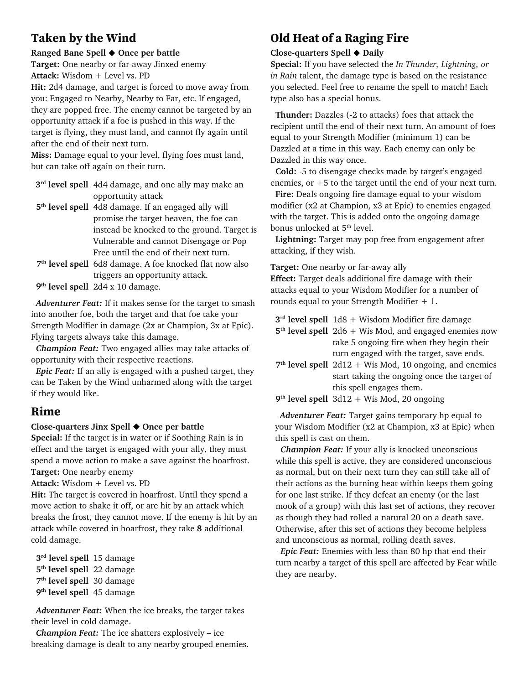### **Taken by the Wind**

#### **Ranged Bane Spell** ◆ **Once per battle**

**Target:** One nearby or far-away Jinxed enemy **Attack:** Wisdom + Level vs. PD

**Hit:** 2d4 damage, and target is forced to move away from you: Engaged to Nearby, Nearby to Far, etc. If engaged, they are popped free. The enemy cannot be targeted by an opportunity attack if a foe is pushed in this way. If the target is flying, they must land, and cannot fly again until after the end of their next turn.

**Miss:** Damage equal to your level, flying foes must land, but can take off again on their turn.

- **3rd level spell** 4d4 damage, and one ally may make an opportunity attack
- **5th level spell** 4d8 damage. If an engaged ally will promise the target heaven, the foe can instead be knocked to the ground. Target is Vulnerable and cannot Disengage or Pop Free until the end of their next turn.
- **7th level spell** 6d8 damage. A foe knocked flat now also triggers an opportunity attack.
- **9th level spell** 2d4 x 10 damage.

 *Adventurer Feat:* If it makes sense for the target to smash into another foe, both the target and that foe take your Strength Modifier in damage (2x at Champion, 3x at Epic). Flying targets always take this damage.

 *Champion Feat:* Two engaged allies may take attacks of opportunity with their respective reactions.

 *Epic Feat:* If an ally is engaged with a pushed target, they can be Taken by the Wind unharmed along with the target if they would like.

#### **Rime**

#### **Close-quarters Jinx Spell** ◆ **Once per battle**

**Special:** If the target is in water or if Soothing Rain is in effect and the target is engaged with your ally, they must spend a move action to make a save against the hoarfrost. **Target:** One nearby enemy

**Attack:** Wisdom + Level vs. PD

**Hit:** The target is covered in hoarfrost. Until they spend a move action to shake it off, or are hit by an attack which breaks the frost, they cannot move. If the enemy is hit by an attack while covered in hoarfrost, they take **8** additional cold damage.

 **3rd level spell** 15 damage  **5th level spell** 22 damage  **7th level spell** 30 damage  **9th level spell** 45 damage

*Adventurer Feat:* When the ice breaks, the target takes their level in cold damage.

*Champion Feat:* The ice shatters explosively – ice breaking damage is dealt to any nearby grouped enemies.

## **Old Heat of a Raging Fire**

#### **Close-quarters Spell** ◆ **Daily**

**Special:** If you have selected the *In Thunder, Lightning, or in Rain* talent, the damage type is based on the resistance you selected. Feel free to rename the spell to match! Each type also has a special bonus.

 **Thunder:** Dazzles (-2 to attacks) foes that attack the recipient until the end of their next turn. An amount of foes equal to your Strength Modifier (minimum 1) can be Dazzled at a time in this way. Each enemy can only be Dazzled in this way once.

 **Cold:** -5 to disengage checks made by target's engaged enemies, or  $+5$  to the target until the end of your next turn.

**Fire:** Deals ongoing fire damage equal to your wisdom modifier (x2 at Champion, x3 at Epic) to enemies engaged with the target. This is added onto the ongoing damage bonus unlocked at 5<sup>th</sup> level.

 **Lightning:** Target may pop free from engagement after attacking, if they wish.

**Target:** One nearby or far-away ally

**Effect:** Target deals additional fire damage with their attacks equal to your Wisdom Modifier for a number of rounds equal to your Strength Modifier + 1.

**3rd level spell** 1d8 + Wisdom Modifier fire damage

- **5th level spell** 2d6 + Wis Mod, and engaged enemies now take 5 ongoing fire when they begin their turn engaged with the target, save ends.
- **7th level spell** 2d12 + Wis Mod, 10 ongoing, and enemies start taking the ongoing once the target of this spell engages them.

 **9th level spell** 3d12 + Wis Mod, 20 ongoing

 *Adventurer Feat:* Target gains temporary hp equal to your Wisdom Modifier (x2 at Champion, x3 at Epic) when this spell is cast on them.

 *Champion Feat:* If your ally is knocked unconscious while this spell is active, they are considered unconscious as normal, but on their next turn they can still take all of their actions as the burning heat within keeps them going for one last strike. If they defeat an enemy (or the last mook of a group) with this last set of actions, they recover as though they had rolled a natural 20 on a death save. Otherwise, after this set of actions they become helpless and unconscious as normal, rolling death saves.

 *Epic Feat:* Enemies with less than 80 hp that end their turn nearby a target of this spell are affected by Fear while they are nearby.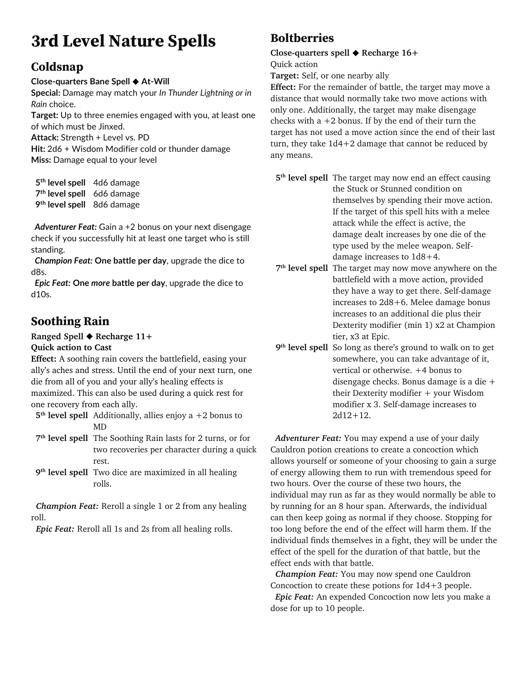## **3rd Level Nature Spells**

## **Coldsnap**

#### **Close-quarters Bane Spell** ◆ **At-Will**

**Special:** Damage may match your *In Thunder Lightning or in Rain* choice.

**Target:** Up to three enemies engaged with you, at least one of which must be Jinxed.

**Attack:** Strength + Level vs. PD

**Hit:** 2d6 + Wisdom Modifier cold or thunder damage **Miss:** Damage equal to your level

 **5th level spell** 4d6 damage **7th level spell** 6d6 damage **9th level spell** 8d6 damage

 *Adventurer Feat:* Gain a +2 bonus on your next disengage check if you successfully hit at least one target who is still standing.

 *Champion Feat:* **One battle per day**, upgrade the dice to d8s.

 *Epic Feat:* **One** *more* **battle per day**, upgrade the dice to d10s.

## **Soothing Rain**

#### **Ranged Spell** ◆ **Recharge 11+ Quick action to Cast**

**Effect:** A soothing rain covers the battlefield, easing your ally's aches and stress. Until the end of your next turn, one die from all of you and your ally's healing effects is maximized. This can also be used during a quick rest for one recovery from each ally.

**5th level spell** Additionally, allies enjoy a +2 bonus to MD

- **7th level spell** The Soothing Rain lasts for 2 turns, or for two recoveries per character during a quick rest.
- **9th level spell** Two dice are maximized in all healing rolls.

*Champion Feat:* Reroll a single 1 or 2 from any healing roll.

*Epic Feat:* Reroll all 1s and 2s from all healing rolls.

### **Boltberries**

**Close-quarters spell** ◆ **Recharge 16+**

Quick action

**Target:** Self, or one nearby ally

**Effect:** For the remainder of battle, the target may move a distance that would normally take two move actions with only one. Additionally, the target may make disengage checks with  $a + 2$  bonus. If by the end of their turn the target has not used a move action since the end of their last turn, they take 1d4+2 damage that cannot be reduced by any means.

**5th level spell** The target may now end an effect causing the Stuck or Stunned condition on themselves by spending their move action. If the target of this spell hits with a melee attack while the effect is active, the damage dealt increases by one die of the type used by the melee weapon. Selfdamage increases to 1d8+4.

- **7th level spell** The target may now move anywhere on the battlefield with a move action, provided they have a way to get there. Self-damage increases to 2d8+6. Melee damage bonus increases to an additional die plus their Dexterity modifier (min 1) x2 at Champion tier, x3 at Epic.
- **9th level spell** So long as there's ground to walk on to get somewhere, you can take advantage of it, vertical or otherwise. +4 bonus to disengage checks. Bonus damage is a die + their Dexterity modifier + your Wisdom modifier x 3. Self-damage increases to  $2d12+12$ .

 *Adventurer Feat:* You may expend a use of your daily Cauldron potion creations to create a concoction which allows yourself or someone of your choosing to gain a surge of energy allowing them to run with tremendous speed for two hours. Over the course of these two hours, the individual may run as far as they would normally be able to by running for an 8 hour span. Afterwards, the individual can then keep going as normal if they choose. Stopping for too long before the end of the effect will harm them. If the individual finds themselves in a fight, they will be under the effect of the spell for the duration of that battle, but the effect ends with that battle.

 *Champion Feat:* You may now spend one Cauldron Concoction to create these potions for 1d4+3 people.  *Epic Feat:* An expended Concoction now lets you make a dose for up to 10 people.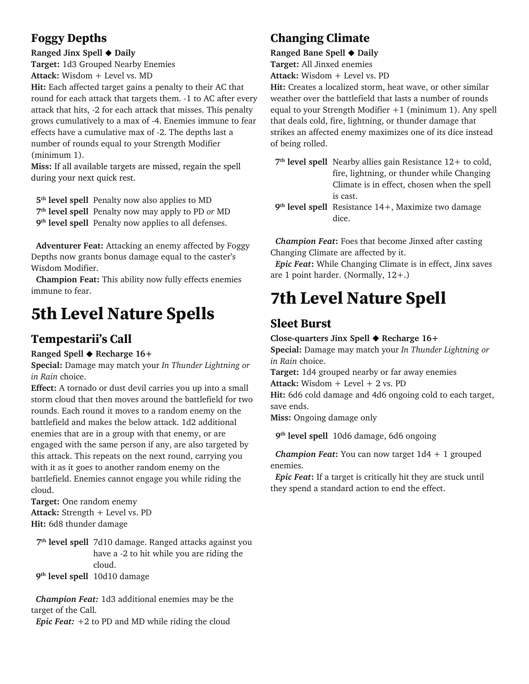### **Foggy Depths**

#### **Ranged Jinx Spell** ◆ **Daily**

**Target:** 1d3 Grouped Nearby Enemies **Attack:** Wisdom + Level vs. MD

**Hit:** Each affected target gains a penalty to their AC that round for each attack that targets them. -1 to AC after every attack that hits, -2 for each attack that misses. This penalty grows cumulatively to a max of -4. Enemies immune to fear effects have a cumulative max of -2. The depths last a number of rounds equal to your Strength Modifier (minimum 1).

**Miss:** If all available targets are missed, regain the spell during your next quick rest.

 **5th level spell** Penalty now also applies to MD

 **7th level spell** Penalty now may apply to PD *or* MD

 **9th level spell** Penalty now applies to all defenses.

 **Adventurer Feat:** Attacking an enemy affected by Foggy Depths now grants bonus damage equal to the caster's Wisdom Modifier.

 **Champion Feat:** This ability now fully effects enemies immune to fear.

## **5th Level Nature Spells**

### **Tempestarii's Call**

#### **Ranged Spell** ◆ **Recharge 16+**

**Special:** Damage may match your *In Thunder Lightning or in Rain* choice.

**Effect:** A tornado or dust devil carries you up into a small storm cloud that then moves around the battlefield for two rounds. Each round it moves to a random enemy on the battlefield and makes the below attack. 1d2 additional enemies that are in a group with that enemy, or are engaged with the same person if any, are also targeted by this attack. This repeats on the next round, carrying you with it as it goes to another random enemy on the battlefield. Enemies cannot engage you while riding the cloud.

**Target:** One random enemy **Attack:** Strength + Level vs. PD **Hit:** 6d8 thunder damage

**7th level spell** 7d10 damage. Ranged attacks against you have a -2 to hit while you are riding the cloud.

**9th level spell** 10d10 damage

 *Champion Feat:* 1d3 additional enemies may be the target of the Call.

*Epic Feat:*  $+2$  to PD and MD while riding the cloud

## **Changing Climate**

**Ranged Bane Spell** ◆ **Daily Target:** All Jinxed enemies **Attack:** Wisdom + Level vs. PD

**Hit:** Creates a localized storm, heat wave, or other similar weather over the battlefield that lasts a number of rounds equal to your Strength Modifier +1 (minimum 1). Any spell that deals cold, fire, lightning, or thunder damage that strikes an affected enemy maximizes one of its dice instead of being rolled.

**7th level spell** Nearby allies gain Resistance 12+ to cold, fire, lightning, or thunder while Changing Climate is in effect, chosen when the spell is cast.

**9th level spell** Resistance 14+, Maximize two damage dice.

*Champion Feat***:** Foes that become Jinxed after casting Changing Climate are affected by it.

*Epic Feat***:** While Changing Climate is in effect, Jinx saves are 1 point harder. (Normally, 12+.)

## **7th Level Nature Spell**

### **Sleet Burst**

#### **Close-quarters Jinx Spell** ◆ **Recharge 16+**

**Special:** Damage may match your *In Thunder Lightning or in Rain* choice.

**Target:** 1d4 grouped nearby or far away enemies

**Attack:** Wisdom + Level + 2 vs. PD

**Hit:** 6d6 cold damage and 4d6 ongoing cold to each target, save ends.

**Miss:** Ongoing damage only

 **9th level spell** 10d6 damage, 6d6 ongoing

*Champion Feat***:** You can now target 1d4 + 1 grouped enemies.

*Epic Feat***:** If a target is critically hit they are stuck until they spend a standard action to end the effect.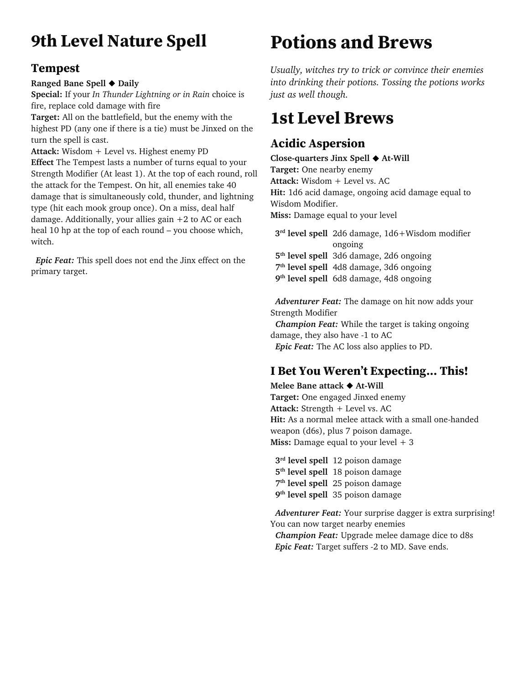## **9th Level Nature Spell**

#### **Tempest**

#### **Ranged Bane Spell** ◆ **Daily**

**Special:** If your *In Thunder Lightning or in Rain* choice is fire, replace cold damage with fire

**Target:** All on the battlefield, but the enemy with the highest PD (any one if there is a tie) must be Jinxed on the turn the spell is cast.

**Attack:** Wisdom + Level vs. Highest enemy PD **Effect** The Tempest lasts a number of turns equal to your Strength Modifier (At least 1). At the top of each round, roll the attack for the Tempest. On hit, all enemies take 40 damage that is simultaneously cold, thunder, and lightning type (hit each mook group once). On a miss, deal half damage. Additionally, your allies gain  $+2$  to AC or each heal 10 hp at the top of each round – you choose which, witch.

 *Epic Feat:* This spell does not end the Jinx effect on the primary target.

## **Potions and Brews**

*Usually, witches try to trick or convince their enemies into drinking their potions. Tossing the potions works just as well though.* 

## **1st Level Brews**

## **Acidic Aspersion**

**Close-quarters Jinx Spell** ◆ **At-Will Target:** One nearby enemy **Attack:** Wisdom + Level vs. AC **Hit:** 1d6 acid damage, ongoing acid damage equal to Wisdom Modifier. **Miss:** Damage equal to your level

**3rd level spell** 2d6 damage, 1d6+Wisdom modifier ongoing **5th level spell** 3d6 damage, 2d6 ongoing

**7th level spell** 4d8 damage, 3d6 ongoing

**9th level spell** 6d8 damage, 4d8 ongoing

*Adventurer Feat:* The damage on hit now adds your Strength Modifier

*Champion Feat:* While the target is taking ongoing damage, they also have -1 to AC *Epic Feat:* The AC loss also applies to PD.

## **I Bet You Weren't Expecting... This!**

**Melee Bane attack** ◆ **At-Will Target:** One engaged Jinxed enemy **Attack:** Strength + Level vs. AC **Hit:** As a normal melee attack with a small one-handed weapon (d6s), plus 7 poison damage. **Miss:** Damage equal to your level  $+3$ 

 **3rd level spell** 12 poison damage **5th level spell** 18 poison damage **7th level spell** 25 poison damage **9th level spell** 35 poison damage

*Adventurer Feat:* Your surprise dagger is extra surprising! You can now target nearby enemies *Champion Feat:* Upgrade melee damage dice to d8s *Epic Feat:* Target suffers -2 to MD. Save ends.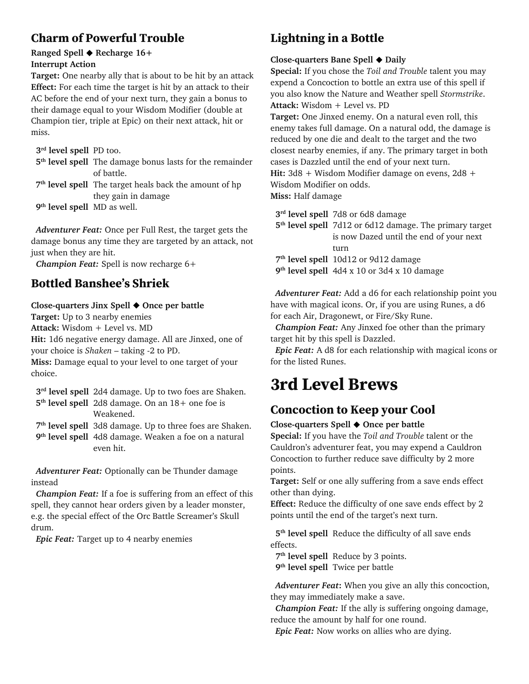### **Charm of Powerful Trouble**

#### **Ranged Spell** ◆ **Recharge 16+ Interrupt Action**

**Target:** One nearby ally that is about to be hit by an attack **Effect:** For each time the target is hit by an attack to their AC before the end of your next turn, they gain a bonus to their damage equal to your Wisdom Modifier (double at Champion tier, triple at Epic) on their next attack, hit or miss.

 **3rd level spell** PD too. **5th level spell** The damage bonus lasts for the remainder of battle. **7th level spell** The target heals back the amount of hp they gain in damage

**9th level spell** MD as well.

 *Adventurer Feat:* Once per Full Rest, the target gets the damage bonus any time they are targeted by an attack, not just when they are hit.

 *Champion Feat:* Spell is now recharge 6+

### **Bottled Banshee's Shriek**

#### **Close-quarters Jinx Spell** ◆ **Once per battle**

**Target:** Up to 3 nearby enemies

**Attack:** Wisdom + Level vs. MD

**Hit:** 1d6 negative energy damage. All are Jinxed, one of your choice is *Shaken* – taking -2 to PD.

**Miss:** Damage equal to your level to one target of your choice.

 **3rd level spell** 2d4 damage. Up to two foes are Shaken.

 **5th level spell** 2d8 damage. On an 18+ one foe is Weakened.

**7th level spell** 3d8 damage. Up to three foes are Shaken.

 **9th level spell** 4d8 damage. Weaken a foe on a natural even hit.

 *Adventurer Feat:* Optionally can be Thunder damage instead

 *Champion Feat:* If a foe is suffering from an effect of this spell, they cannot hear orders given by a leader monster, e.g. the special effect of the Orc Battle Screamer's Skull drum.

 *Epic Feat:* Target up to 4 nearby enemies

## **Lightning in a Bottle**

#### **Close-quarters Bane Spell** ◆ **Daily**

**Special:** If you chose the *Toil and Trouble* talent you may expend a Concoction to bottle an extra use of this spell if you also know the Nature and Weather spell *Stormstrike*. **Attack:** Wisdom + Level vs. PD

**Target:** One Jinxed enemy. On a natural even roll, this enemy takes full damage. On a natural odd, the damage is reduced by one die and dealt to the target and the two closest nearby enemies, if any. The primary target in both cases is Dazzled until the end of your next turn. **Hit:** 3d8 + Wisdom Modifier damage on evens, 2d8 + Wisdom Modifier on odds.

**Miss:** Half damage

 **3rd level spell** 7d8 or 6d8 damage

 **5th level spell** 7d12 or 6d12 damage. The primary target is now Dazed until the end of your next turn

 **7th level spell** 10d12 or 9d12 damage

 **9th level spell** 4d4 x 10 or 3d4 x 10 damage

 *Adventurer Feat:* Add a d6 for each relationship point you have with magical icons. Or, if you are using Runes, a d6 for each Air, Dragonewt, or Fire/Sky Rune.

 *Champion Feat:* Any Jinxed foe other than the primary target hit by this spell is Dazzled.

 *Epic Feat:* A d8 for each relationship with magical icons or for the listed Runes.

## **3rd Level Brews**

## **Concoction to Keep your Cool**

#### **Close-quarters Spell** ◆ **Once per battle**

**Special:** If you have the *Toil and Trouble* talent or the Cauldron's adventurer feat, you may expend a Cauldron Concoction to further reduce save difficulty by 2 more points.

**Target:** Self or one ally suffering from a save ends effect other than dying.

**Effect:** Reduce the difficulty of one save ends effect by 2 points until the end of the target's next turn.

 **5th level spell** Reduce the difficulty of all save ends effects.

 **7th level spell** Reduce by 3 points.

 **9th level spell** Twice per battle

 *Adventurer Feat***:** When you give an ally this concoction, they may immediately make a save.

 *Champion Feat:* If the ally is suffering ongoing damage, reduce the amount by half for one round.

 *Epic Feat:* Now works on allies who are dying.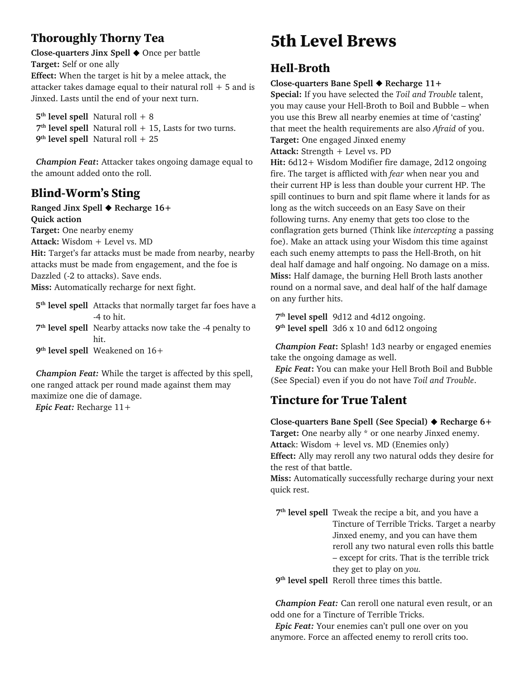### **Thoroughly Thorny Tea**

**Close-quarters Jinx Spell** ◆ Once per battle **Target:** Self or one ally **Effect:** When the target is hit by a melee attack, the attacker takes damage equal to their natural roll  $+5$  and is Jinxed. Lasts until the end of your next turn.

 $5<sup>th</sup>$  **level spell** Natural roll + 8  **7th level spell** Natural roll + 15, Lasts for two turns. **9th level spell** Natural roll + 25

*Champion Feat***:** Attacker takes ongoing damage equal to the amount added onto the roll.

### **Blind-Worm's Sting**

**Ranged Jinx Spell** ◆ **Recharge 16+ Quick action**

**Target:** One nearby enemy

**Attack:** Wisdom + Level vs. MD

**Hit:** Target's far attacks must be made from nearby, nearby attacks must be made from engagement, and the foe is Dazzled (-2 to attacks). Save ends.

**Miss:** Automatically recharge for next fight.

**5th level spell** Attacks that normally target far foes have a -4 to hit. **7th level spell** Nearby attacks now take the -4 penalty to hit. **9th level spell** Weakened on 16+

 *Champion Feat:* While the target is affected by this spell, one ranged attack per round made against them may maximize one die of damage. *Epic Feat:* Recharge 11+

## **5th Level Brews**

### **Hell-Broth**

#### **Close-quarters Bane Spell** ◆ **Recharge 11+**

**Special:** If you have selected the *Toil and Trouble* talent, you may cause your Hell-Broth to Boil and Bubble – when you use this Brew all nearby enemies at time of 'casting' that meet the health requirements are also *Afraid* of you. **Target:** One engaged Jinxed enemy

**Attack:** Strength + Level vs. PD

**Hit:** 6d12+ Wisdom Modifier fire damage, 2d12 ongoing fire. The target is afflicted with *fear* when near you and their current HP is less than double your current HP. The spill continues to burn and spit flame where it lands for as long as the witch succeeds on an Easy Save on their following turns. Any enemy that gets too close to the conflagration gets burned (Think like *intercepting* a passing foe). Make an attack using your Wisdom this time against each such enemy attempts to pass the Hell-Broth, on hit deal half damage and half ongoing. No damage on a miss. **Miss:** Half damage, the burning Hell Broth lasts another round on a normal save, and deal half of the half damage on any further hits.

 **7th level spell** 9d12 and 4d12 ongoing. **9th level spell** 3d6 x 10 and 6d12 ongoing

*Champion Feat***:** Splash! 1d3 nearby or engaged enemies take the ongoing damage as well.

 *Epic Feat***:** You can make your Hell Broth Boil and Bubble (See Special) even if you do not have *Toil and Trouble*.

#### **Tincture for True Talent**

**Close-quarters Bane Spell (See Special)** ◆ **Recharge 6+ Target:** One nearby ally \* or one nearby Jinxed enemy. **Attac**k: Wisdom + level vs. MD (Enemies only) **Effect:** Ally may reroll any two natural odds they desire for the rest of that battle. **Miss:** Automatically successfully recharge during your next quick rest.

**7th level spell** Tweak the recipe a bit, and you have a Tincture of Terrible Tricks. Target a nearby Jinxed enemy, and you can have them reroll any two natural even rolls this battle – except for crits. That is the terrible trick they get to play on *you.*

 **9th level spell** Reroll three times this battle.

*Champion Feat:* Can reroll one natural even result, or an odd one for a Tincture of Terrible Tricks.

*Epic Feat:* Your enemies can't pull one over on you anymore. Force an affected enemy to reroll crits too.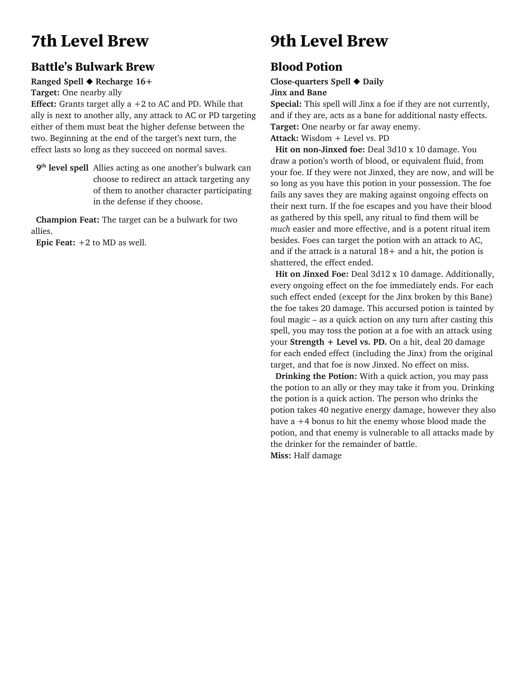## **7th Level Brew**

### **Battle's Bulwark Brew**

#### **Ranged Spell** ◆ **Recharge 16+**

**Target:** One nearby ally

**Effect:** Grants target ally  $a + 2$  to AC and PD. While that ally is next to another ally, any attack to AC or PD targeting either of them must beat the higher defense between the two. Beginning at the end of the target's next turn, the effect lasts so long as they succeed on normal saves.

**9th level spell** Allies acting as one another's bulwark can choose to redirect an attack targeting any of them to another character participating in the defense if they choose.

 **Champion Feat:** The target can be a bulwark for two allies.

 **Epic Feat:** +2 to MD as well.

## **9th Level Brew**

### **Blood Potion**

**Close-quarters Spell** ◆ **Daily**

**Jinx and Bane**

**Special:** This spell will Jinx a foe if they are not currently, and if they are, acts as a bane for additional nasty effects. **Target:** One nearby or far away enemy.

**Attack:** Wisdom + Level vs. PD

 **Hit on non-Jinxed foe:** Deal 3d10 x 10 damage. You draw a potion's worth of blood, or equivalent fluid, from your foe. If they were not Jinxed, they are now, and will be so long as you have this potion in your possession. The foe fails any saves they are making against ongoing effects on their next turn. If the foe escapes and you have their blood as gathered by this spell, any ritual to find them will be *much* easier and more effective, and is a potent ritual item besides. Foes can target the potion with an attack to AC, and if the attack is a natural  $18+$  and a hit, the potion is shattered, the effect ended.

 **Hit on Jinxed Foe:** Deal 3d12 x 10 damage. Additionally, every ongoing effect on the foe immediately ends. For each such effect ended (except for the Jinx broken by this Bane) the foe takes 20 damage. This accursed potion is tainted by foul magic – as a quick action on any turn after casting this spell, you may toss the potion at a foe with an attack using your **Strength + Level vs. PD.** On a hit, deal 20 damage for each ended effect (including the Jinx) from the original target, and that foe is now Jinxed. No effect on miss.

 **Drinking the Potion:** With a quick action, you may pass the potion to an ally or they may take it from you. Drinking the potion is a quick action. The person who drinks the potion takes 40 negative energy damage, however they also have a +4 bonus to hit the enemy whose blood made the potion, and that enemy is vulnerable to all attacks made by the drinker for the remainder of battle. **Miss:** Half damage